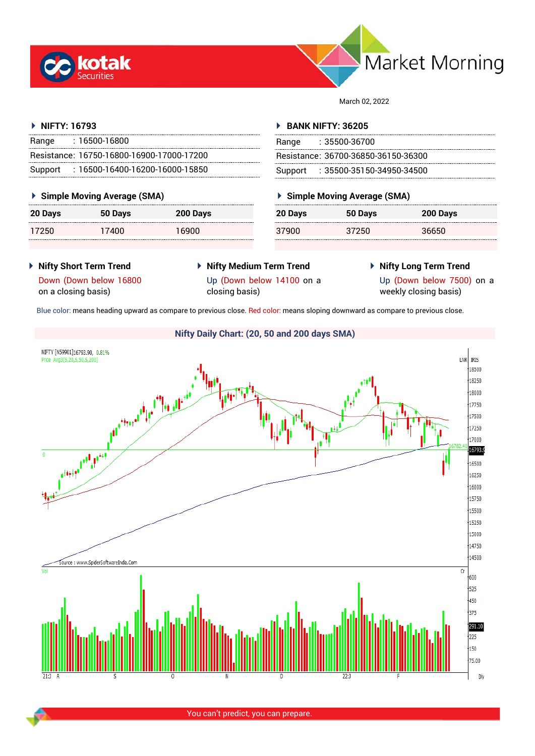



March 02, 2022

## **NIFTY: 16793**

| Range | : 16500-16800                             |
|-------|-------------------------------------------|
|       | Resistance: 16750-16800-16900-17000-17200 |
|       | Support: 16500-16400-16200-16000-15850    |

## **Simple Moving Average (SMA)**

| 20 Days | 50 Days | 200 Days |
|---------|---------|----------|
| 17250   | 17400   | 16900    |

## **BANK NIFTY: 36205**

| Range | : 35500-36700                       |
|-------|-------------------------------------|
|       | Resistance: 36700-36850-36150-36300 |
|       | Support: : 35500-35150-34950-34500  |

## **Simple Moving Average (SMA)**

| 20 Days | 50 Days | 200 Days |
|---------|---------|----------|
| 37900   | 37250   | 36650    |

- **Nifty Short Term Trend** Down (Down below 16800 on a closing basis)
- **Nifty Medium Term Trend** Up (Down below 14100 on a closing basis)
- **Nifty Long Term Trend**

Up (Down below 7500) on a weekly closing basis)

Blue color: means heading upward as compare to previous close. Red color: means sloping downward as compare to previous close.

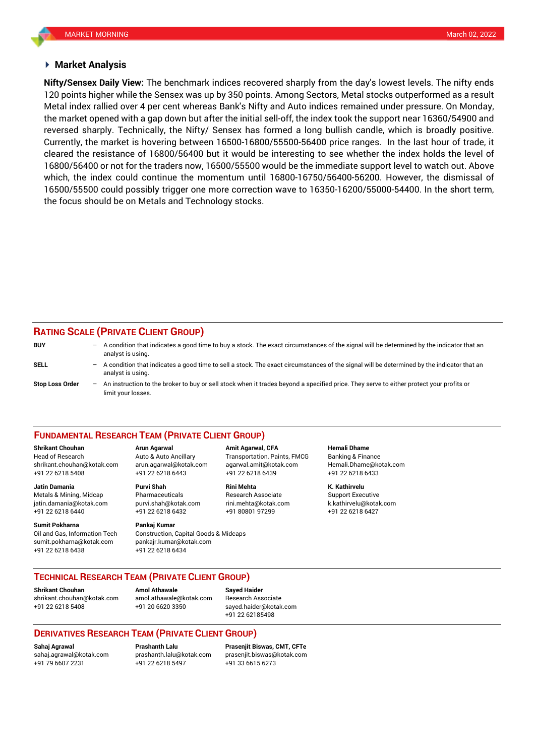### **Market Analysis**

120 points higher while the Sensex was up by 350 points. Among Sectors, Metal stocks outperformed as a result **Nifty/Sensex Daily View:** The benchmark indices recovered sharply from the day's lowest levels. The nifty ends Metal index rallied over 4 per cent whereas Bank's Nifty and Auto indices remained under pressure. On Monday, the market opened with a gap down but after the initial sell-off, the index took the support near 16360/54900 and reversed sharply. Technically, the Nifty/ Sensex has formed a long bullish candle, which is broadly positive. Currently, the market is hovering between 16500-16800/55500-56400 price ranges. In the last hour of trade, it cleared the resistance of 16800/56400 but it would be interesting to see whether the index holds the level of 16800/56400 or not for the traders now, 16500/55500 would be the immediate support level to watch out. Above which, the index could continue the momentum until 16800-16750/56400-56200. However, the dismissal of 16500/55500 could possibly trigger one more correction wave to 16350-16200/55000-54400. In the short term, the focus should be on Metals and Technology stocks.

## **RATING SCALE (PRIVATE CLIENT GROUP)**

| <b>BUY</b>             | $-$ A condition that indicates a good time to buy a stock. The exact circumstances of the signal will be determined by the indicator that an<br>analyst is using. |
|------------------------|-------------------------------------------------------------------------------------------------------------------------------------------------------------------|
| SELL                   | - A condition that indicates a good time to sell a stock. The exact circumstances of the signal will be determined by the indicator that an<br>analyst is using.  |
| <b>Stop Loss Order</b> | - An instruction to the broker to buy or sell stock when it trades beyond a specified price. They serve to either protect your profits or<br>limit your losses.   |

#### **FUNDAMENTAL RESEARCH TEAM (PRIVATE CLIENT GROUP)**

[shrikant.chouhan@kotak.com](mailto:shrikant.chouhan@kotak.com) arun.agarwal@kotak.com agarwal.amit@kotak.com Hemali.Dhame@kotak.com

**Jatin Damania Purvi Shah Rini Mehta K. Kathirvelu** Metals & Mining, Midcap Pharmaceuticals Research Associate Support Executive jatin.damania@kotak.com [purvi.shah@kotak.com](mailto:purvi.shah@kotak.com) rini.mehta@kotak.com [k.kathirvelu@kotak.com](mailto:k.kathirvelu@kotak.com) +91 22 6218 6440 +91 22 6218 6432 +91 80801 97299 +91 22 6218 6427

Oil and Gas, Information Tech Construction, Capital Goods & Midcaps sumit.pokharna@kotak.com pankajr.kumar@kotak.com

+91 22 6218 5408 +91 22 6218 6443 +91 22 6218 6439 +91 22 6218 6433

# **Sumit Pokharna Pankaj Kumar**

+91 22 6218 6438 +91 22 6218 6434

**Shrikant Chouhan Arun Agarwal Amit Agarwal, CFA Hemali Dhame** Head of Research Auto & Auto Ancillary Transportation, Paints, FMCG Banking & Finance

## **TECHNICAL RESEARCH TEAM (PRIVATE CLIENT GROUP)**

**Shrikant Chouhan Amol Athawale Sayed Haider**

[shrikant.chouhan@kotak.com](mailto:shrikant.chouhan@kotak.com) [amol.athawale@kotak.com](mailto:amol.athawale@kotak.com) Research Associate +91 22 6218 5408 +91 20 6620 3350 [sayed.haider@kotak.com](mailto:sayed.haider@kotak.com)

+91 22 62185498

## **DERIVATIVES RESEARCH TEAM (PRIVATE CLIENT GROUP)**

+91 79 6607 2231 +91 22 6218 5497 +91 33 6615 6273

**Sahaj Agrawal Prashanth Lalu Prasenjit Biswas, CMT, CFTe** [sahaj.agrawal@kotak.com](mailto:sahaj.agrawal@kotak.com) [prashanth.lalu@kotak.com](mailto:prashanth.lalu@kotak.com) [prasenjit.biswas@kotak.com](mailto:prasenjit.biswas@kotak.com)